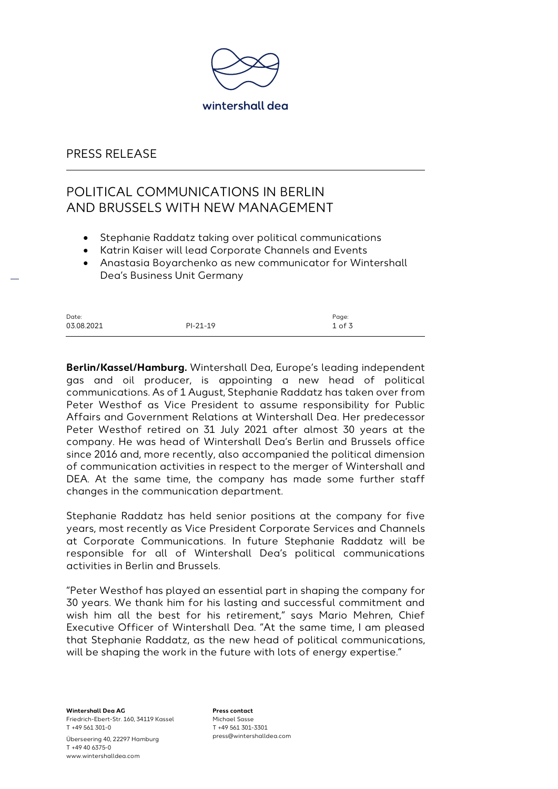

#### PRESS RELEASE

# POLITICAL COMMUNICATIONS IN BERLIN AND BRUSSELS WITH NEW MANAGEMENT

- Stephanie Raddatz taking over political communications
- Katrin Kaiser will lead Corporate Channels and Events
- Anastasia Boyarchenko as new communicator for Wintershall Dea's Business Unit Germany

| Date:      |            | Page:    |
|------------|------------|----------|
| 03.08.2021 | $PI-21-19$ | $1$ of 3 |

**Berlin/Kassel/Hamburg.** Wintershall Dea, Europe's leading independent gas and oil producer, is appointing a new head of political communications. As of 1 August, Stephanie Raddatz has taken over from Peter Westhof as Vice President to assume responsibility for Public Affairs and Government Relations at Wintershall Dea. Her predecessor Peter Westhof retired on 31 July 2021 after almost 30 years at the company. He was head of Wintershall Dea's Berlin and Brussels office since 2016 and, more recently, also accompanied the political dimension of communication activities in respect to the merger of Wintershall and DEA. At the same time, the company has made some further staff changes in the communication department.

Stephanie Raddatz has held senior positions at the company for five years, most recently as Vice President Corporate Services and Channels at Corporate Communications. In future Stephanie Raddatz will be responsible for all of Wintershall Dea's political communications activities in Berlin and Brussels.

"Peter Westhof has played an essential part in shaping the company for 30 years. We thank him for his lasting and successful commitment and wish him all the best for his retirement," says Mario Mehren, Chief Executive Officer of Wintershall Dea. "At the same time, I am pleased that Stephanie Raddatz, as the new head of political communications, will be shaping the work in the future with lots of energy expertise."

**Wintershall Dea AG** Friedrich-Ebert-Str. 160, 34119 Kassel T +49 561 301-0 Überseering 40, 22297 Hamburg T +49 40 6375-0 www.wintershalldea.com

**Press contact** Michael Sasse T +49 561 301-3301 press@wintershalldea.com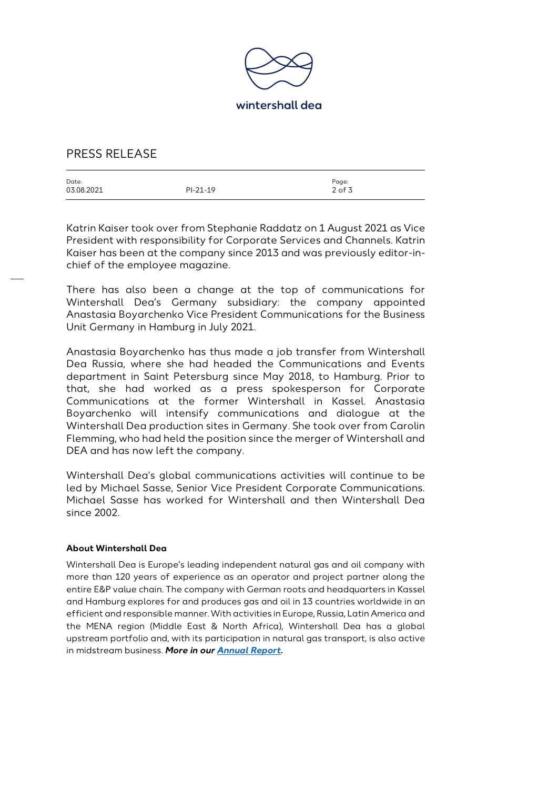

### PRESS RELEASE

| Date:      |            | Page:      |
|------------|------------|------------|
| 03.08.2021 | $PI-21-19$ | $2$ of $3$ |
|            |            |            |

Katrin Kaiser took over from Stephanie Raddatz on 1 August 2021 as Vice President with responsibility for Corporate Services and Channels. Katrin Kaiser has been at the company since 2013 and was previously editor-inchief of the employee magazine.

There has also been a change at the top of communications for Wintershall Dea's Germany subsidiary: the company appointed Anastasia Boyarchenko Vice President Communications for the Business Unit Germany in Hamburg in July 2021.

Anastasia Boyarchenko has thus made a job transfer from Wintershall Dea Russia, where she had headed the Communications and Events department in Saint Petersburg since May 2018, to Hamburg. Prior to that, she had worked as a press spokesperson for Corporate Communications at the former Wintershall in Kassel. Anastasia Boyarchenko will intensify communications and dialogue at the Wintershall Dea production sites in Germany. She took over from Carolin Flemming, who had held the position since the merger of Wintershall and DEA and has now left the company.

Wintershall Dea's global communications activities will continue to be led by Michael Sasse, Senior Vice President Corporate Communications. Michael Sasse has worked for Wintershall and then Wintershall Dea since 2002.

#### **About Wintershall Dea**

Wintershall Dea is Europe's leading independent natural gas and oil company with more than 120 years of experience as an operator and project partner along the entire E&P value chain. The company with German roots and headquarters in Kassel and Hamburg explores for and produces gas and oil in 13 countries worldwide in an efficient and responsible manner. With activities in Europe, Russia, Latin America and the MENA region (Middle East & North Africa), Wintershall Dea has a global upstream portfolio and, with its participation in natural gas transport, is also active in midstream business. *More in our [Annual Report.](https://wintershalldea.com/de/investor-relations/2020-geschaeftsbericht)*